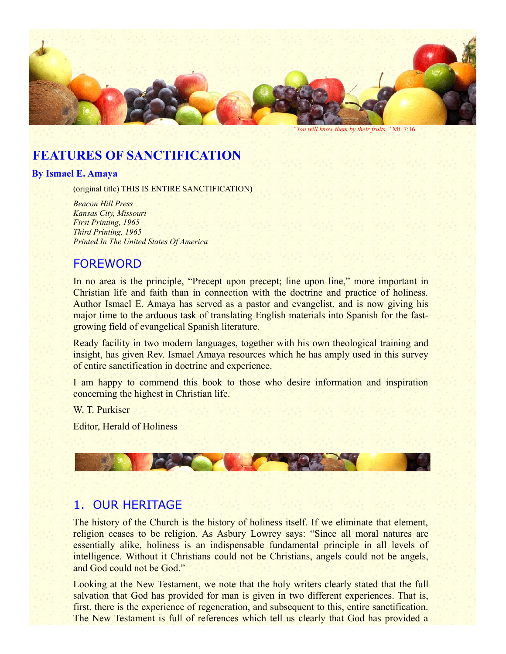

# **FEATURES OF SANCTIFICATION**

#### **By Ismael E. Amaya**

(original title) THIS IS ENTIRE SANCTIFICATION)

*Beacon Hill Press Kansas City, Missouri First Printing, 1965 Third Printing, 1965 Printed In The United States Of America*

## FOREWORD

In no area is the principle, "Precept upon precept; line upon line," more important in Christian life and faith than in connection with the doctrine and practice of holiness. Author Ismael E. Amaya has served as a pastor and evangelist, and is now giving his major time to the arduous task of translating English materials into Spanish for the fastgrowing field of evangelical Spanish literature.

Ready facility in two modern languages, together with his own theological training and insight, has given Rev. Ismael Amaya resources which he has amply used in this survey of entire sanctification in doctrine and experience.

I am happy to commend this book to those who desire information and inspiration concerning the highest in Christian life.

W. T. Purkiser

Editor, Herald of Holiness



## 1. OUR HERITAGE

The history of the Church is the history of holiness itself. If we eliminate that element, religion ceases to be religion. As Asbury Lowrey says: "Since all moral natures are essentially alike, holiness is an indispensable fundamental principle in all levels of intelligence. Without it Christians could not be Christians, angels could not be angels, and God could not be God."

Looking at the New Testament, we note that the holy writers clearly stated that the full salvation that God has provided for man is given in two different experiences. That is, first, there is the experience of regeneration, and subsequent to this, entire sanctification. The New Testament is full of references which tell us clearly that God has provided a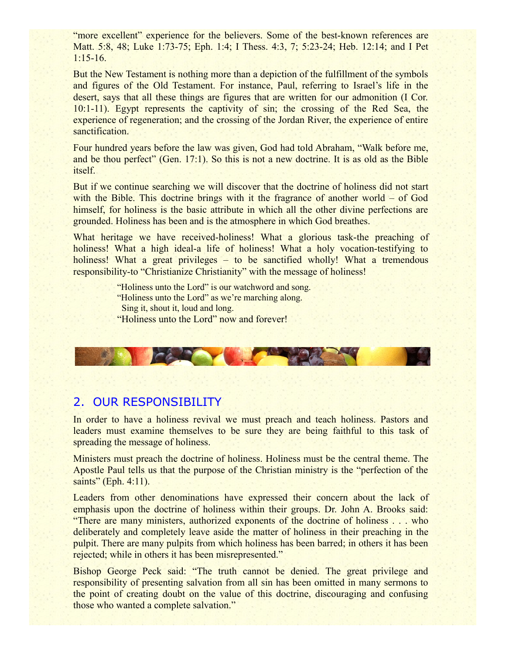"more excellent" experience for the believers. Some of the best-known references are Matt. 5:8, 48; Luke 1:73-75; Eph. 1:4; I Thess. 4:3, 7; 5:23-24; Heb. 12:14; and I Pet 1:15-16.

But the New Testament is nothing more than a depiction of the fulfillment of the symbols and figures of the Old Testament. For instance, Paul, referring to Israel's life in the desert, says that all these things are figures that are written for our admonition (I Cor. 10:1-11). Egypt represents the captivity of sin; the crossing of the Red Sea, the experience of regeneration; and the crossing of the Jordan River, the experience of entire sanctification.

Four hundred years before the law was given, God had told Abraham, "Walk before me, and be thou perfect" (Gen. 17:1). So this is not a new doctrine. It is as old as the Bible itself.

But if we continue searching we will discover that the doctrine of holiness did not start with the Bible. This doctrine brings with it the fragrance of another world – of God himself, for holiness is the basic attribute in which all the other divine perfections are grounded. Holiness has been and is the atmosphere in which God breathes.

What heritage we have received-holiness! What a glorious task-the preaching of holiness! What a high ideal-a life of holiness! What a holy vocation-testifying to holiness! What a great privileges – to be sanctified wholly! What a tremendous responsibility-to "Christianize Christianity" with the message of holiness!

> "Holiness unto the Lord" is our watchword and song. "Holiness unto the Lord" as we're marching along. Sing it, shout it, loud and long. "Holiness unto the Lord" now and forever!



#### 2. OUR RESPONSIBILITY

In order to have a holiness revival we must preach and teach holiness. Pastors and leaders must examine themselves to be sure they are being faithful to this task of spreading the message of holiness.

Ministers must preach the doctrine of holiness. Holiness must be the central theme. The Apostle Paul tells us that the purpose of the Christian ministry is the "perfection of the saints" (Eph. 4:11).

Leaders from other denominations have expressed their concern about the lack of emphasis upon the doctrine of holiness within their groups. Dr. John A. Brooks said: "There are many ministers, authorized exponents of the doctrine of holiness . . . who deliberately and completely leave aside the matter of holiness in their preaching in the pulpit. There are many pulpits from which holiness has been barred; in others it has been rejected; while in others it has been misrepresented."

Bishop George Peck said: "The truth cannot be denied. The great privilege and responsibility of presenting salvation from all sin has been omitted in many sermons to the point of creating doubt on the value of this doctrine, discouraging and confusing those who wanted a complete salvation."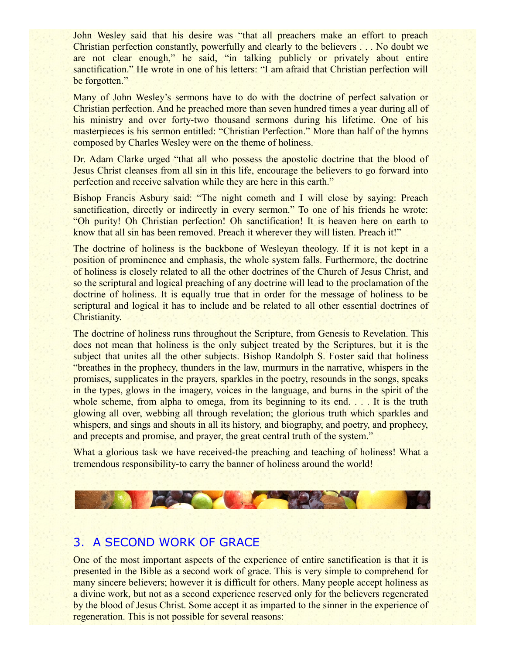John Wesley said that his desire was "that all preachers make an effort to preach Christian perfection constantly, powerfully and clearly to the believers . . . No doubt we are not clear enough," he said, "in talking publicly or privately about entire sanctification." He wrote in one of his letters: "I am afraid that Christian perfection will be forgotten."

Many of John Wesley's sermons have to do with the doctrine of perfect salvation or Christian perfection. And he preached more than seven hundred times a year during all of his ministry and over forty-two thousand sermons during his lifetime. One of his masterpieces is his sermon entitled: "Christian Perfection." More than half of the hymns composed by Charles Wesley were on the theme of holiness.

Dr. Adam Clarke urged "that all who possess the apostolic doctrine that the blood of Jesus Christ cleanses from all sin in this life, encourage the believers to go forward into perfection and receive salvation while they are here in this earth."

Bishop Francis Asbury said: "The night cometh and I will close by saying: Preach sanctification, directly or indirectly in every sermon." To one of his friends he wrote: "Oh purity! Oh Christian perfection! Oh sanctification! It is heaven here on earth to know that all sin has been removed. Preach it wherever they will listen. Preach it!"

The doctrine of holiness is the backbone of Wesleyan theology. If it is not kept in a position of prominence and emphasis, the whole system falls. Furthermore, the doctrine of holiness is closely related to all the other doctrines of the Church of Jesus Christ, and so the scriptural and logical preaching of any doctrine will lead to the proclamation of the doctrine of holiness. It is equally true that in order for the message of holiness to be scriptural and logical it has to include and be related to all other essential doctrines of Christianity.

The doctrine of holiness runs throughout the Scripture, from Genesis to Revelation. This does not mean that holiness is the only subject treated by the Scriptures, but it is the subject that unites all the other subjects. Bishop Randolph S. Foster said that holiness "breathes in the prophecy, thunders in the law, murmurs in the narrative, whispers in the promises, supplicates in the prayers, sparkles in the poetry, resounds in the songs, speaks in the types, glows in the imagery, voices in the language, and burns in the spirit of the whole scheme, from alpha to omega, from its beginning to its end. . . . It is the truth glowing all over, webbing all through revelation; the glorious truth which sparkles and whispers, and sings and shouts in all its history, and biography, and poetry, and prophecy, and precepts and promise, and prayer, the great central truth of the system."

What a glorious task we have received-the preaching and teaching of holiness! What a tremendous responsibility-to carry the banner of holiness around the world!



## 3. A SECOND WORK OF GRACE

One of the most important aspects of the experience of entire sanctification is that it is presented in the Bible as a second work of grace. This is very simple to comprehend for many sincere believers; however it is difficult for others. Many people accept holiness as a divine work, but not as a second experience reserved only for the believers regenerated by the blood of Jesus Christ. Some accept it as imparted to the sinner in the experience of regeneration. This is not possible for several reasons: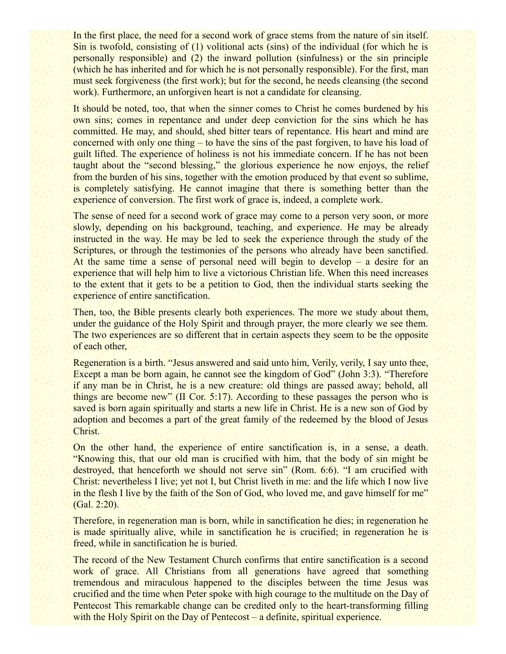In the first place, the need for a second work of grace stems from the nature of sin itself. Sin is twofold, consisting of  $(1)$  volitional acts (sins) of the individual (for which he is personally responsible) and (2) the inward pollution (sinfulness) or the sin principle (which he has inherited and for which he is not personally responsible). For the first, man must seek forgiveness (the first work); but for the second, he needs cleansing (the second work). Furthermore, an unforgiven heart is not a candidate for cleansing.

It should be noted, too, that when the sinner comes to Christ he comes burdened by his own sins; comes in repentance and under deep conviction for the sins which he has committed. He may, and should, shed bitter tears of repentance. His heart and mind are concerned with only one thing – to have the sins of the past forgiven, to have his load of guilt lifted. The experience of holiness is not his immediate concern. If he has not been taught about the "second blessing," the glorious experience he now enjoys, the relief from the burden of his sins, together with the emotion produced by that event so sublime, is completely satisfying. He cannot imagine that there is something better than the experience of conversion. The first work of grace is, indeed, a complete work.

The sense of need for a second work of grace may come to a person very soon, or more slowly, depending on his background, teaching, and experience. He may be already instructed in the way. He may be led to seek the experience through the study of the Scriptures, or through the testimonies of the persons who already have been sanctified. At the same time a sense of personal need will begin to develop – a desire for an experience that will help him to live a victorious Christian life. When this need increases to the extent that it gets to be a petition to God, then the individual starts seeking the experience of entire sanctification.

Then, too, the Bible presents clearly both experiences. The more we study about them, under the guidance of the Holy Spirit and through prayer, the more clearly we see them. The two experiences are so different that in certain aspects they seem to be the opposite of each other,

Regeneration is a birth. "Jesus answered and said unto him, Verily, verily, I say unto thee, Except a man be born again, he cannot see the kingdom of God" (John 3:3). "Therefore if any man be in Christ, he is a new creature: old things are passed away; behold, all things are become new" (II Cor. 5:17). According to these passages the person who is saved is born again spiritually and starts a new life in Christ. He is a new son of God by adoption and becomes a part of the great family of the redeemed by the blood of Jesus Christ.

On the other hand, the experience of entire sanctification is, in a sense, a death. "Knowing this, that our old man is crucified with him, that the body of sin might be destroyed, that henceforth we should not serve sin" (Rom. 6:6). "I am crucified with Christ: nevertheless I live; yet not I, but Christ liveth in me: and the life which I now live in the flesh I live by the faith of the Son of God, who loved me, and gave himself for me" (Gal. 2:20).

Therefore, in regeneration man is born, while in sanctification he dies; in regeneration he is made spiritually alive, while in sanctification he is crucified; in regeneration he is freed, while in sanctification he is buried.

The record of the New Testament Church confirms that entire sanctification is a second work of grace. All Christians from all generations have agreed that something tremendous and miraculous happened to the disciples between the time Jesus was crucified and the time when Peter spoke with high courage to the multitude on the Day of Pentecost This remarkable change can be credited only to the heart-transforming filling with the Holy Spirit on the Day of Pentecost – a definite, spiritual experience.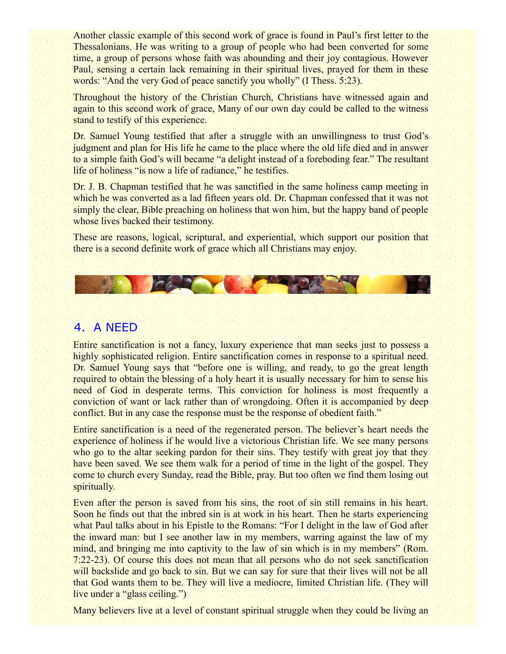Another classic example of this second work of grace is found in Paul's first letter to the Thessalonians. He was writing to a group of people who had been converted for some time, a group of persons whose faith was abounding and their joy contagious. However Paul, sensing a certain lack remaining in their spiritual lives, prayed for them in these words: "And the very God of peace sanctify you wholly" (I Thess. 5:23).

Throughout the history of the Christian Church, Christians have witnessed again and again to this second work of grace, Many of our own day could be called to the witness stand to testify of this experience.

Dr. Samuel Young testified that after a struggle with an unwillingness to trust God's judgment and plan for His life he came to the place where the old life died and in answer to a simple faith God's will became "a delight instead of a foreboding fear." The resultant life of holiness "is now a life of radiance," he testifies.

Dr. J. B. Chapman testified that he was sanctified in the same holiness camp meeting in which he was converted as a lad fifteen years old. Dr. Chapman confessed that it was not simply the clear. Bible preaching on holiness that won him, but the happy band of people whose lives backed their testimony.

These are reasons, logical, scriptural, and experiential, which support our position that there is a second definite work of grace which all Christians may enjoy.

**ICALLES** 

## 4. A NEED

Entire sanctification is not a fancy, luxury experience that man seeks just to possess a highly sophisticated religion. Entire sanctification comes in response to a spiritual need. Dr. Samuel Young says that "before one is willing, and ready, to go the great length required to obtain the blessing of a holy heart it is usually necessary for him to sense his need of God in desperate terms. This conviction for holiness is most frequently a conviction of want or lack rather than of wrongdoing. Often it is accompanied by deep conflict. But in any case the response must be the response of obedient faith."

Entire sanctification is a need of the regenerated person. The believer's heart needs the experience of holiness if he would live a victorious Christian life. We see many persons who go to the altar seeking pardon for their sins. They testify with great joy that they have been saved. We see them walk for a period of time in the light of the gospel. They come to church every Sunday, read the Bible, pray. But too often we find them losing out spiritually.

Even after the person is saved from his sins, the root of sin still remains in his heart. Soon he finds out that the inbred sin is at work in his heart. Then he starts experiencing what Paul talks about in his Epistle to the Romans: "For I delight in the law of God after the inward man: but I see another law in my members, warring against the law of my mind, and bringing me into captivity to the law of sin which is in my members" (Rom. 7:22-23). Of course this does not mean that all persons who do not seek sanctification will backslide and go back to sin. But we can say for sure that their lives will not be all that God wants them to be. They will live a mediocre, limited Christian life. (They will live under a "glass ceiling.")

Many believers live at a level of constant spiritual struggle when they could be living an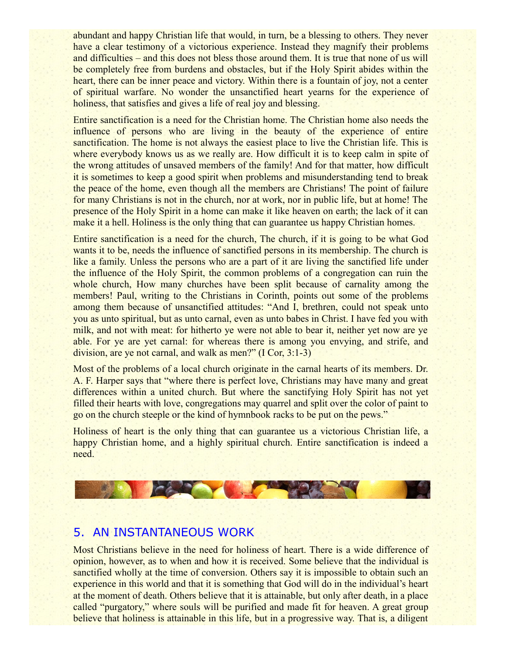abundant and happy Christian life that would, in turn, be a blessing to others. They never have a clear testimony of a victorious experience. Instead they magnify their problems and difficulties – and this does not bless those around them. It is true that none of us will be completely free from burdens and obstacles, but if the Holy Spirit abides within the heart, there can be inner peace and victory. Within there is a fountain of joy, not a center of spiritual warfare. No wonder the unsanctified heart yearns for the experience of holiness, that satisfies and gives a life of real joy and blessing.

Entire sanctification is a need for the Christian home. The Christian home also needs the influence of persons who are living in the beauty of the experience of entire sanctification. The home is not always the easiest place to live the Christian life. This is where everybody knows us as we really are. How difficult it is to keep calm in spite of the wrong attitudes of unsaved members of the family! And for that matter, how difficult it is sometimes to keep a good spirit when problems and misunderstanding tend to break the peace of the home, even though all the members are Christians! The point of failure for many Christians is not in the church, nor at work, nor in public life, but at home! The presence of the Holy Spirit in a home can make it like heaven on earth; the lack of it can make it a hell. Holiness is the only thing that can guarantee us happy Christian homes.

Entire sanctification is a need for the church, The church, if it is going to be what God wants it to be, needs the influence of sanctified persons in its membership. The church is like a family. Unless the persons who are a part of it are living the sanctified life under the influence of the Holy Spirit, the common problems of a congregation can ruin the whole church, How many churches have been split because of carnality among the members! Paul, writing to the Christians in Corinth, points out some of the problems among them because of unsanctified attitudes: "And I, brethren, could not speak unto you as unto spiritual, but as unto carnal, even as unto babes in Christ. I have fed you with milk, and not with meat: for hitherto ye were not able to bear it, neither yet now are ye able. For ye are yet carnal: for whereas there is among you envying, and strife, and division, are ye not carnal, and walk as men?" (I Cor, 3:1-3)

Most of the problems of a local church originate in the carnal hearts of its members. Dr. A. F. Harper says that "where there is perfect love, Christians may have many and great differences within a united church. But where the sanctifying Holy Spirit has not yet filled their hearts with love, congregations may quarrel and split over the color of paint to go on the church steeple or the kind of hymnbook racks to be put on the pews."

Holiness of heart is the only thing that can guarantee us a victorious Christian life, a happy Christian home, and a highly spiritual church. Entire sanctification is indeed a need.



## 5. AN INSTANTANEOUS WORK

Most Christians believe in the need for holiness of heart. There is a wide difference of opinion, however, as to when and how it is received. Some believe that the individual is sanctified wholly at the time of conversion. Others say it is impossible to obtain such an experience in this world and that it is something that God will do in the individual's heart at the moment of death. Others believe that it is attainable, but only after death, in a place called "purgatory," where souls will be purified and made fit for heaven. A great group believe that holiness is attainable in this life, but in a progressive way. That is, a diligent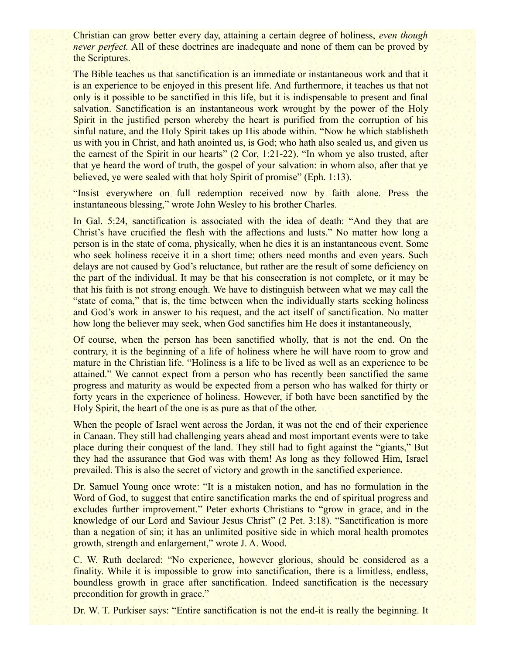Christian can grow better every day, attaining a certain degree of holiness, *even though never perfect.* All of these doctrines are inadequate and none of them can be proved by the Scriptures.

The Bible teaches us that sanctification is an immediate or instantaneous work and that it is an experience to be enjoyed in this present life. And furthermore, it teaches us that not only is it possible to be sanctified in this life, but it is indispensable to present and final salvation. Sanctification is an instantaneous work wrought by the power of the Holy Spirit in the justified person whereby the heart is purified from the corruption of his sinful nature, and the Holy Spirit takes up His abode within. "Now he which stablisheth us with you in Christ, and hath anointed us, is God; who hath also sealed us, and given us the earnest of the Spirit in our hearts" (2 Cor, 1:21-22). "In whom ye also trusted, after that ye heard the word of truth, the gospel of your salvation: in whom also, after that ye believed, ye were sealed with that holy Spirit of promise" (Eph. 1:13).

"Insist everywhere on full redemption received now by faith alone. Press the instantaneous blessing," wrote John Wesley to his brother Charles.

In Gal. 5:24, sanctification is associated with the idea of death: "And they that are Christ's have crucified the flesh with the affections and lusts." No matter how long a person is in the state of coma, physically, when he dies it is an instantaneous event. Some who seek holiness receive it in a short time; others need months and even years. Such delays are not caused by God's reluctance, but rather are the result of some deficiency on the part of the individual. It may be that his consecration is not complete, or it may be that his faith is not strong enough. We have to distinguish between what we may call the "state of coma," that is, the time between when the individually starts seeking holiness and God's work in answer to his request, and the act itself of sanctification. No matter how long the believer may seek, when God sanctifies him He does it instantaneously,

Of course, when the person has been sanctified wholly, that is not the end. On the contrary, it is the beginning of a life of holiness where he will have room to grow and mature in the Christian life. "Holiness is a life to be lived as well as an experience to be attained." We cannot expect from a person who has recently been sanctified the same progress and maturity as would be expected from a person who has walked for thirty or forty years in the experience of holiness. However, if both have been sanctified by the Holy Spirit, the heart of the one is as pure as that of the other.

When the people of Israel went across the Jordan, it was not the end of their experience in Canaan. They still had challenging years ahead and most important events were to take place during their conquest of the land. They still had to fight against the "giants," But they had the assurance that God was with them! As long as they followed Him, Israel prevailed. This is also the secret of victory and growth in the sanctified experience.

Dr. Samuel Young once wrote: "It is a mistaken notion, and has no formulation in the Word of God, to suggest that entire sanctification marks the end of spiritual progress and excludes further improvement." Peter exhorts Christians to "grow in grace, and in the knowledge of our Lord and Saviour Jesus Christ" (2 Pet. 3:18). "Sanctification is more than a negation of sin; it has an unlimited positive side in which moral health promotes growth, strength and enlargement," wrote J. A. Wood.

C. W. Ruth declared: "No experience, however glorious, should be considered as a finality. While it is impossible to grow into sanctification, there is a limitless, endless, boundless growth in grace after sanctification. Indeed sanctification is the necessary precondition for growth in grace."

Dr. W. T. Purkiser says: "Entire sanctification is not the end-it is really the beginning. It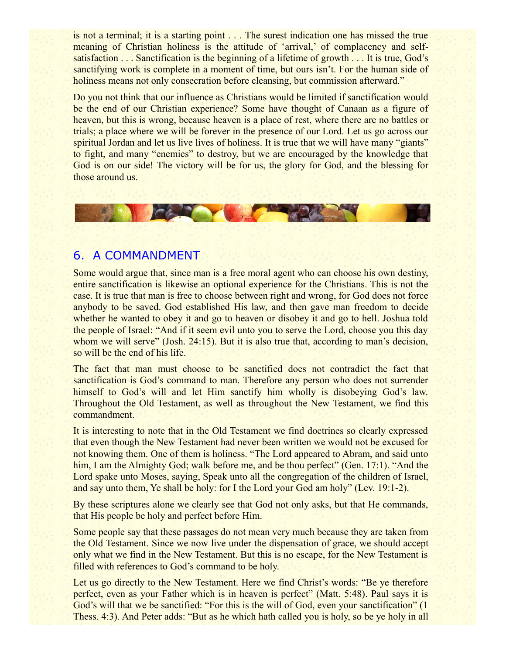is not a terminal; it is a starting point . . . The surest indication one has missed the true meaning of Christian holiness is the attitude of 'arrival,' of complacency and selfsatisfaction . . . Sanctification is the beginning of a lifetime of growth . . . It is true, God's sanctifying work is complete in a moment of time, but ours isn't. For the human side of holiness means not only consecration before cleansing, but commission afterward."

Do you not think that our influence as Christians would be limited if sanctification would be the end of our Christian experience? Some have thought of Canaan as a figure of heaven, but this is wrong, because heaven is a place of rest, where there are no battles or trials; a place where we will be forever in the presence of our Lord. Let us go across our spiritual Jordan and let us live lives of holiness. It is true that we will have many "giants" to fight, and many "enemies" to destroy, but we are encouraged by the knowledge that God is on our side! The victory will be for us, the glory for God, and the blessing for those around us.



## 6. A COMMANDMENT

Some would argue that, since man is a free moral agent who can choose his own destiny, entire sanctification is likewise an optional experience for the Christians. This is not the case. It is true that man is free to choose between right and wrong, for God does not force anybody to be saved. God established His law, and then gave man freedom to decide whether he wanted to obey it and go to heaven or disobey it and go to hell. Joshua told the people of Israel: "And if it seem evil unto you to serve the Lord, choose you this day whom we will serve" (Josh, 24:15). But it is also true that, according to man's decision, so will be the end of his life.

The fact that man must choose to be sanctified does not contradict the fact that sanctification is God's command to man. Therefore any person who does not surrender himself to God's will and let Him sanctify him wholly is disobeying God's law. Throughout the Old Testament, as well as throughout the New Testament, we find this commandment.

It is interesting to note that in the Old Testament we find doctrines so clearly expressed that even though the New Testament had never been written we would not be excused for not knowing them. One of them is holiness. "The Lord appeared to Abram, and said unto him, I am the Almighty God; walk before me, and be thou perfect" (Gen. 17:1). "And the Lord spake unto Moses, saying, Speak unto all the congregation of the children of Israel, and say unto them, Ye shall be holy: for I the Lord your God am holy" (Lev. 19:1-2).

By these scriptures alone we clearly see that God not only asks, but that He commands, that His people be holy and perfect before Him.

Some people say that these passages do not mean very much because they are taken from the Old Testament. Since we now live under the dispensation of grace, we should accept only what we find in the New Testament. But this is no escape, for the New Testament is filled with references to God's command to be holy.

Let us go directly to the New Testament. Here we find Christ's words: "Be ye therefore perfect, even as your Father which is in heaven is perfect" (Matt. 5:48). Paul says it is God's will that we be sanctified: "For this is the will of God, even your sanctification" (1 Thess. 4:3). And Peter adds: "But as he which hath called you is holy, so be ye holy in all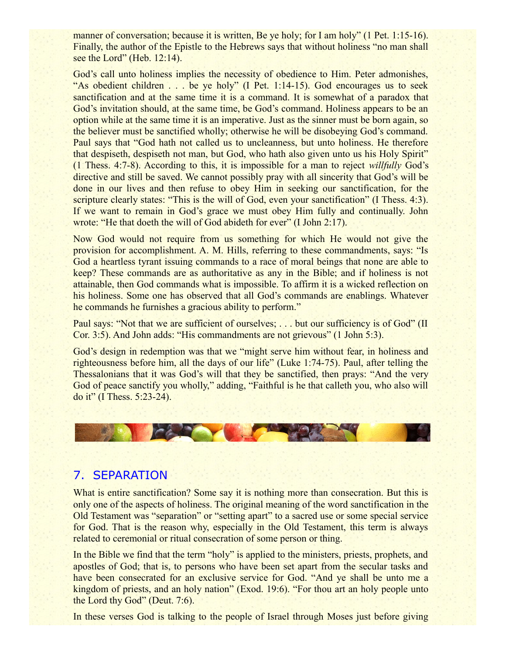manner of conversation; because it is written, Be ye holy; for I am holy" (1 Pet. 1:15-16). Finally, the author of the Epistle to the Hebrews says that without holiness "no man shall see the Lord" (Heb. 12:14).

God's call unto holiness implies the necessity of obedience to Him. Peter admonishes, "As obedient children . . . be ye holy" (I Pet. 1:14-15). God encourages us to seek sanctification and at the same time it is a command. It is somewhat of a paradox that God's invitation should, at the same time, be God's command. Holiness appears to be an option while at the same time it is an imperative. Just as the sinner must be born again, so the believer must be sanctified wholly; otherwise he will be disobeying God's command. Paul says that "God hath not called us to uncleanness, but unto holiness. He therefore that despiseth, despiseth not man, but God, who hath also given unto us his Holy Spirit" (1 Thess. 4:7-8). According to this, it is impossible for a man to reject *willfully* God's directive and still be saved. We cannot possibly pray with all sincerity that God's will be done in our lives and then refuse to obey Him in seeking our sanctification, for the scripture clearly states: "This is the will of God, even your sanctification" (I Thess. 4:3). If we want to remain in God's grace we must obey Him fully and continually. John wrote: "He that doeth the will of God abideth for ever" (I John 2:17).

Now God would not require from us something for which He would not give the provision for accomplishment. A. M. Hills, referring to these commandments, says: "Is God a heartless tyrant issuing commands to a race of moral beings that none are able to keep? These commands are as authoritative as any in the Bible; and if holiness is not attainable, then God commands what is impossible. To affirm it is a wicked reflection on his holiness. Some one has observed that all God's commands are enablings. Whatever he commands he furnishes a gracious ability to perform."

Paul says: "Not that we are sufficient of ourselves; . . . but our sufficiency is of God" (II Cor. 3:5). And John adds: "His commandments are not grievous" (1 John 5:3).

God's design in redemption was that we "might serve him without fear, in holiness and righteousness before him, all the days of our life" (Luke 1:74-75). Paul, after telling the Thessalonians that it was God's will that they be sanctified, then prays: "And the very God of peace sanctify you wholly," adding, "Faithful is he that calleth you, who also will do it" (I Thess. 5:23-24).



## 7. SEPARATION

What is entire sanctification? Some say it is nothing more than consecration. But this is only one of the aspects of holiness. The original meaning of the word sanctification in the Old Testament was "separation" or "setting apart" to a sacred use or some special service for God. That is the reason why, especially in the Old Testament, this term is always related to ceremonial or ritual consecration of some person or thing.

In the Bible we find that the term "holy" is applied to the ministers, priests, prophets, and apostles of God; that is, to persons who have been set apart from the secular tasks and have been consecrated for an exclusive service for God. "And ye shall be unto me a kingdom of priests, and an holy nation" (Exod. 19:6). "For thou art an holy people unto the Lord thy God" (Deut. 7:6).

In these verses God is talking to the people of Israel through Moses just before giving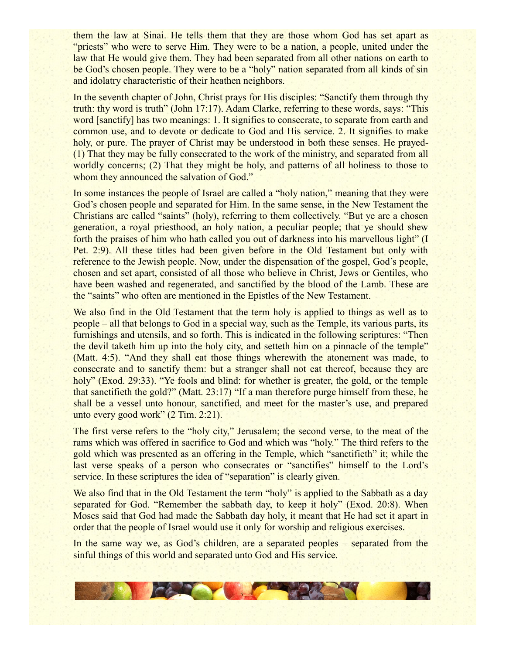them the law at Sinai. He tells them that they are those whom God has set apart as "priests" who were to serve Him. They were to be a nation, a people, united under the law that He would give them. They had been separated from all other nations on earth to be God's chosen people. They were to be a "holy" nation separated from all kinds of sin and idolatry characteristic of their heathen neighbors.

In the seventh chapter of John, Christ prays for His disciples: "Sanctify them through thy truth: thy word is truth" (John 17:17). Adam Clarke, referring to these words, says: "This word [sanctify] has two meanings: 1. It signifies to consecrate, to separate from earth and common use, and to devote or dedicate to God and His service. 2. It signifies to make holy, or pure. The prayer of Christ may be understood in both these senses. He prayed- (1) That they may be fully consecrated to the work of the ministry, and separated from all worldly concerns; (2) That they might be holy, and patterns of all holiness to those to whom they announced the salvation of God."

In some instances the people of Israel are called a "holy nation," meaning that they were God's chosen people and separated for Him. In the same sense, in the New Testament the Christians are called "saints" (holy), referring to them collectively. "But ye are a chosen generation, a royal priesthood, an holy nation, a peculiar people; that ye should shew forth the praises of him who hath called you out of darkness into his marvellous light" (I Pet. 2:9). All these titles had been given before in the Old Testament but only with reference to the Jewish people. Now, under the dispensation of the gospel, God's people, chosen and set apart, consisted of all those who believe in Christ, Jews or Gentiles, who have been washed and regenerated, and sanctified by the blood of the Lamb. These are the "saints" who often are mentioned in the Epistles of the New Testament.

We also find in the Old Testament that the term holy is applied to things as well as to people – all that belongs to God in a special way, such as the Temple, its various parts, its furnishings and utensils, and so forth. This is indicated in the following scriptures: "Then the devil taketh him up into the holy city, and setteth him on a pinnacle of the temple" (Matt. 4:5). "And they shall eat those things wherewith the atonement was made, to consecrate and to sanctify them: but a stranger shall not eat thereof, because they are holy" (Exod. 29:33). "Ye fools and blind: for whether is greater, the gold, or the temple that sanctifieth the gold?" (Matt. 23:17) "If a man therefore purge himself from these, he shall be a vessel unto honour, sanctified, and meet for the master's use, and prepared unto every good work" (2 Tim. 2:21).

The first verse refers to the "holy city," Jerusalem; the second verse, to the meat of the rams which was offered in sacrifice to God and which was "holy." The third refers to the gold which was presented as an offering in the Temple, which "sanctifieth" it; while the last verse speaks of a person who consecrates or "sanctifies" himself to the Lord's service. In these scriptures the idea of "separation" is clearly given.

We also find that in the Old Testament the term "holy" is applied to the Sabbath as a day separated for God. "Remember the sabbath day, to keep it holy" (Exod. 20:8). When Moses said that God had made the Sabbath day holy, it meant that He had set it apart in order that the people of Israel would use it only for worship and religious exercises.

In the same way we, as God's children, are a separated peoples – separated from the sinful things of this world and separated unto God and His service.

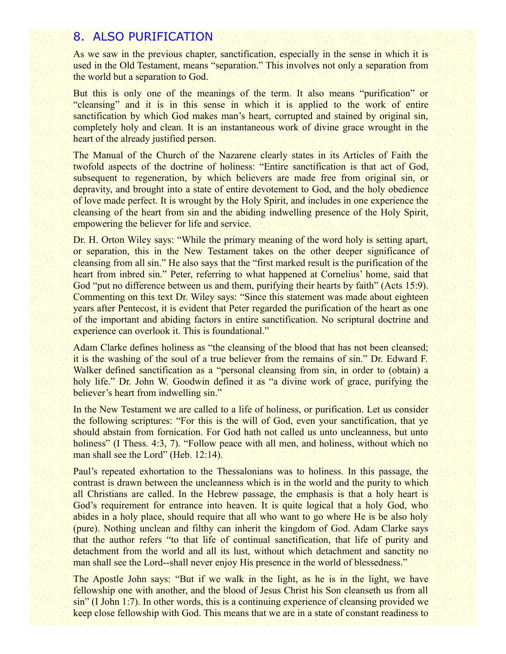#### 8. ALSO PURIFICATION

As we saw in the previous chapter, sanctification, especially in the sense in which it is used in the Old Testament, means "separation." This involves not only a separation from the world but a separation to God.

But this is only one of the meanings of the term. It also means "purification" or "cleansing" and it is in this sense in which it is applied to the work of entire sanctification by which God makes man's heart, corrupted and stained by original sin, completely holy and clean. It is an instantaneous work of divine grace wrought in the heart of the already justified person.

The Manual of the Church of the Nazarene clearly states in its Articles of Faith the twofold aspects of the doctrine of holiness: "Entire sanctification is that act of God, subsequent to regeneration, by which believers are made free from original sin, or depravity, and brought into a state of entire devotement to God, and the holy obedience of love made perfect. It is wrought by the Holy Spirit, and includes in one experience the cleansing of the heart from sin and the abiding indwelling presence of the Holy Spirit, empowering the believer for life and service.

Dr. H. Orton Wiley says: "While the primary meaning of the word holy is setting apart, or separation, this in the New Testament takes on the other deeper significance of cleansing from all sin." He also says that the "first marked result is the purification of the heart from inbred sin." Peter, referring to what happened at Cornelius' home, said that God "put no difference between us and them, purifying their hearts by faith" (Acts 15:9). Commenting on this text Dr. Wiley says: "Since this statement was made about eighteen years after Pentecost, it is evident that Peter regarded the purification of the heart as one of the important and abiding factors in entire sanctification. No scriptural doctrine and experience can overlook it. This is foundational."

Adam Clarke defines holiness as "the cleansing of the blood that has not been cleansed; it is the washing of the soul of a true believer from the remains of sin." Dr. Edward F. Walker defined sanctification as a "personal cleansing from sin, in order to (obtain) a holy life." Dr. John W. Goodwin defined it as "a divine work of grace, purifying the believer's heart from indwelling sin."

In the New Testament we are called to a life of holiness, or purification. Let us consider the following scriptures: "For this is the will of God, even your sanctification, that ye should abstain from fornication. For God hath not called us unto uncleanness, but unto holiness" (I Thess. 4:3, 7). "Follow peace with all men, and holiness, without which no man shall see the Lord" (Heb. 12:14).

Paul's repeated exhortation to the Thessalonians was to holiness. In this passage, the contrast is drawn between the uncleanness which is in the world and the purity to which all Christians are called. In the Hebrew passage, the emphasis is that a holy heart is God's requirement for entrance into heaven. It is quite logical that a holy God, who abides in a holy place, should require that all who want to go where He is be also holy (pure). Nothing unclean and filthy can inherit the kingdom of God. Adam Clarke says that the author refers "to that life of continual sanctification, that life of purity and detachment from the world and all its lust, without which detachment and sanctity no man shall see the Lord--shall never enjoy His presence in the world of blessedness."

The Apostle John says: "But if we walk in the light, as he is in the light, we have fellowship one with another, and the blood of Jesus Christ his Son cleanseth us from all sin" (I John 1:7). In other words, this is a continuing experience of cleansing provided we keep close fellowship with God. This means that we are in a state of constant readiness to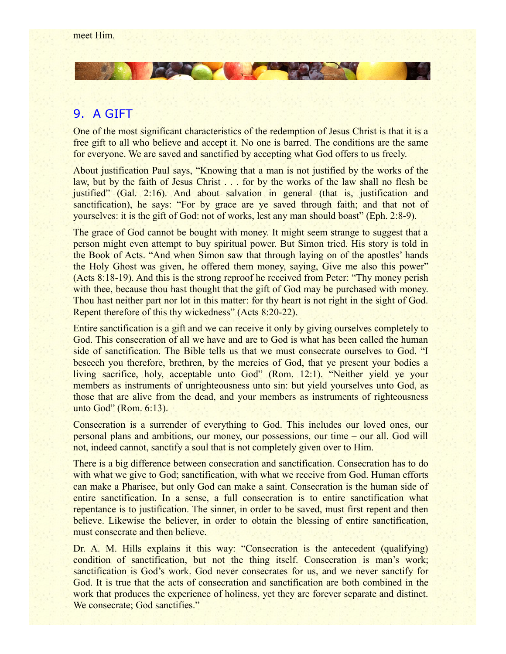# 9. A GIFT

One of the most significant characteristics of the redemption of Jesus Christ is that it is a free gift to all who believe and accept it. No one is barred. The conditions are the same for everyone. We are saved and sanctified by accepting what God offers to us freely.

**Doctor Company** 

About justification Paul says, "Knowing that a man is not justified by the works of the law, but by the faith of Jesus Christ . . . for by the works of the law shall no flesh be justified" (Gal. 2:16). And about salvation in general (that is, justification and sanctification), he says: "For by grace are ye saved through faith; and that not of yourselves: it is the gift of God: not of works, lest any man should boast" (Eph. 2:8-9).

The grace of God cannot be bought with money. It might seem strange to suggest that a person might even attempt to buy spiritual power. But Simon tried. His story is told in the Book of Acts. "And when Simon saw that through laying on of the apostles' hands the Holy Ghost was given, he offered them money, saying, Give me also this power" (Acts 8:18-19). And this is the strong reproof he received from Peter: "Thy money perish with thee, because thou hast thought that the gift of God may be purchased with money. Thou hast neither part nor lot in this matter: for thy heart is not right in the sight of God. Repent therefore of this thy wickedness" (Acts 8:20-22).

Entire sanctification is a gift and we can receive it only by giving ourselves completely to God. This consecration of all we have and are to God is what has been called the human side of sanctification. The Bible tells us that we must consecrate ourselves to God. "I beseech you therefore, brethren, by the mercies of God, that ye present your bodies a living sacrifice, holy, acceptable unto God" (Rom. 12:1). "Neither yield ye your members as instruments of unrighteousness unto sin: but yield yourselves unto God, as those that are alive from the dead, and your members as instruments of righteousness unto God" (Rom. 6:13).

Consecration is a surrender of everything to God. This includes our loved ones, our personal plans and ambitions, our money, our possessions, our time – our all. God will not, indeed cannot, sanctify a soul that is not completely given over to Him.

There is a big difference between consecration and sanctification. Consecration has to do with what we give to God; sanctification, with what we receive from God. Human efforts can make a Pharisee, but only God can make a saint. Consecration is the human side of entire sanctification. In a sense, a full consecration is to entire sanctification what repentance is to justification. The sinner, in order to be saved, must first repent and then believe. Likewise the believer, in order to obtain the blessing of entire sanctification, must consecrate and then believe.

Dr. A. M. Hills explains it this way: "Consecration is the antecedent (qualifying) condition of sanctification, but not the thing itself. Consecration is man's work; sanctification is God's work. God never consecrates for us, and we never sanctify for God. It is true that the acts of consecration and sanctification are both combined in the work that produces the experience of holiness, yet they are forever separate and distinct. We consecrate; God sanctifies."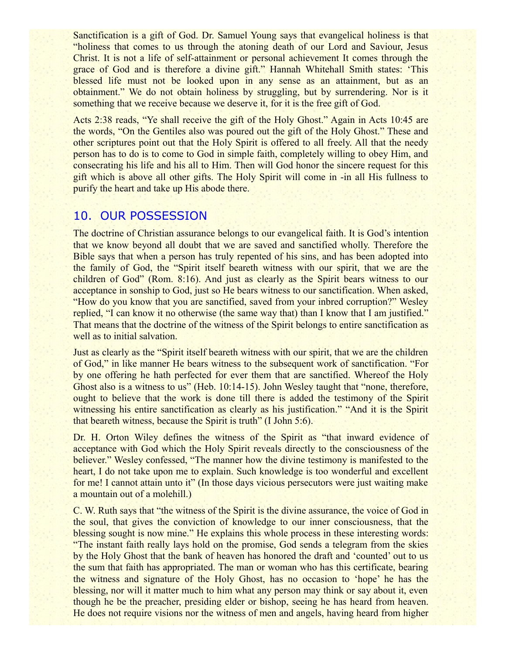Sanctification is a gift of God. Dr. Samuel Young says that evangelical holiness is that "holiness that comes to us through the atoning death of our Lord and Saviour, Jesus Christ. It is not a life of self-attainment or personal achievement It comes through the grace of God and is therefore a divine gift." Hannah Whitehall Smith states: 'This blessed life must not be looked upon in any sense as an attainment, but as an obtainment." We do not obtain holiness by struggling, but by surrendering. Nor is it something that we receive because we deserve it, for it is the free gift of God.

Acts 2:38 reads, "Ye shall receive the gift of the Holy Ghost." Again in Acts 10:45 are the words, "On the Gentiles also was poured out the gift of the Holy Ghost." These and other scriptures point out that the Holy Spirit is offered to all freely. All that the needy person has to do is to come to God in simple faith, completely willing to obey Him, and consecrating his life and his all to Him. Then will God honor the sincere request for this gift which is above all other gifts. The Holy Spirit will come in -in all His fullness to purify the heart and take up His abode there.

## 10. OUR POSSESSION

The doctrine of Christian assurance belongs to our evangelical faith. It is God's intention that we know beyond all doubt that we are saved and sanctified wholly. Therefore the Bible says that when a person has truly repented of his sins, and has been adopted into the family of God, the "Spirit itself beareth witness with our spirit, that we are the children of God" (Rom. 8:16). And just as clearly as the Spirit bears witness to our acceptance in sonship to God, just so He bears witness to our sanctification. When asked, "How do you know that you are sanctified, saved from your inbred corruption?" Wesley replied, "I can know it no otherwise (the same way that) than I know that I am justified." That means that the doctrine of the witness of the Spirit belongs to entire sanctification as well as to initial salvation.

Just as clearly as the "Spirit itself beareth witness with our spirit, that we are the children of God," in like manner He bears witness to the subsequent work of sanctification. "For by one offering he hath perfected for ever them that are sanctified. Whereof the Holy Ghost also is a witness to us" (Heb. 10:14-15). John Wesley taught that "none, therefore, ought to believe that the work is done till there is added the testimony of the Spirit witnessing his entire sanctification as clearly as his justification." "And it is the Spirit that beareth witness, because the Spirit is truth" (I John 5:6).

Dr. H. Orton Wiley defines the witness of the Spirit as "that inward evidence of acceptance with God which the Holy Spirit reveals directly to the consciousness of the believer." Wesley confessed, "The manner how the divine testimony is manifested to the heart, I do not take upon me to explain. Such knowledge is too wonderful and excellent for me! I cannot attain unto it" (In those days vicious persecutors were just waiting make a mountain out of a molehill.)

C. W. Ruth says that "the witness of the Spirit is the divine assurance, the voice of God in the soul, that gives the conviction of knowledge to our inner consciousness, that the blessing sought is now mine." He explains this whole process in these interesting words: "The instant faith really lays hold on the promise, God sends a telegram from the skies by the Holy Ghost that the bank of heaven has honored the draft and 'counted' out to us the sum that faith has appropriated. The man or woman who has this certificate, bearing the witness and signature of the Holy Ghost, has no occasion to 'hope' he has the blessing, nor will it matter much to him what any person may think or say about it, even though he be the preacher, presiding elder or bishop, seeing he has heard from heaven. He does not require visions nor the witness of men and angels, having heard from higher